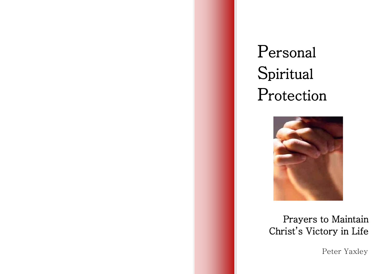# Personal Spiritual Protection

I



# Prayers to Maintain Christ's Victory in Life

Peter Yaxley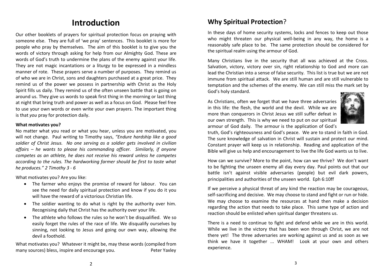# **Introduction**

Our other booklets of prayers for spiritual protection focus on praying with someone else. They are full of 'we pray' sentences. This booklet is more for people who pray by themselves. The aim of this booklet is to give you the words of victory through asking for help from our Almighty God. These are words of God's truth to undermine the plans of the enemy against your life. They are not magic incantations or a liturgy to be expressed in a mindless manner of rote. These prayers serve a number of purposes. They remind us of who we are in Christ, sons and daughters purchased at a great price. They remind us of the power we possess in partnership with Christ as the Holy Spirit fills us daily. They remind us of the often unseen battle that is going on around us. They give us words to speak first thing in the morning or last thing at night that bring truth and power as well as a focus on God. Please feel free to use your own words or even write your own prayers. The important thing is that *you* pray for protection daily.

#### **What motivates you?**

No matter what you read or what you hear, unless you are motivated, you will not change. Paul writing to Timothy says, *"Endure hardship like a good soldier of Christ Jesus. No one serving as a soldier gets involved in civilian affairs – he wants to please his commanding officer. Similarly, if anyone competes as an athlete, he does not receive his reward unless he competes according to the rules. The hardworking farmer should be first to taste what he produces." 2 Timothy 3 - 6*

What motivates you? Are you like:

- The farmer who enjoys the promise of reward for labour. You can see the need for daily spiritual protection and know if you do it you will have the reward of a victorious Christian life.
- The soldier wanting to do what is right by the authority over him. Recognising daily that Christ has the authority over your life.
- The athlete who follows the rules so he won't be disqualified. We so easily forget the rules of the race of life. We disqualify ourselves by sinning, not looking to Jesus and going our own way, allowing the devil a foothold.

What motivates you? Whatever it might be, may these words (compiled from many sources) bless, inspire and encourage you. Peter Yaxley

# **Why Spiritual Protection**?

In these days of home security systems, locks and fences to keep out those who might threaten our physical well-being in any way, the home is a reasonably safe place to be. The same protection should be considered for the spiritual realm using the armour of God.

Many Christians live in the security that all was achieved at the Cross. Salvation, victory, victory over sin, right relationship to God and more can lead the Christian into a sense of false security. This list is true but we are not immune from spiritual attack. We are still human and are still vulnerable to temptation and the schemes of the enemy. We can still miss the mark set by God's holy standard.

As Christians, often we forget that we have three adversaries in this life: the flesh, the world and the devil. While we are more than conquerors in Christ Jesus we still suffer defeat in our own strength. This is why we need to put on our spiritual armour of God daily. The armour is the application of God's



truth, God's righteousness and God's peace. We are to stand in faith in God. The sure knowledge of salvation in Christ will sustain and protect our mind. Constant prayer will keep us in relationship. Reading and application of the Bible will give us help and encouragement to live the life God wants us to live.

How can we survive? More to the point, how can we thrive? We don't want to be fighting the unseen enemy all day every day. Paul points out that our battle isn't against visible adversaries (people) but evil dark powers, principalities and authorities of the unseen world. Eph 6:10ff

If we perceive a physical threat of any kind the reaction may be courageous, self-sacrificing and decisive. We may choose to stand and fight or run or hide. We may choose to examine the resources at hand then make a decision regarding the action that needs to take place. This same type of action and reaction should be enlisted when spiritual danger threatens us.

There is a need to continue to fight and defend while we are in this world. While we live in the victory that has been won through Christ, we are not there yet! The three adversaries are working against us and as soon as we think we have it together ... WHAM! Look at your own and others experience.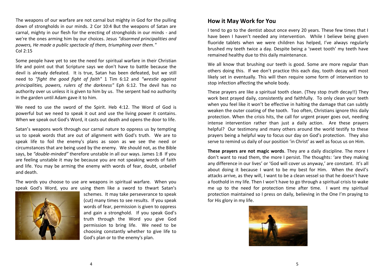The weapons of our warfare are not carnal but mighty in God for the pulling down of strongholds in our minds. 2 Cor 10:4 But the weapons of Satan are carnal, mighty in our flesh for the erecting of strongholds in our minds - and we're the ones arming him by our choices. Jesus *"disarmed principalities and powers, He made a public spectacle of them, triumphing over them."*  Col 2:15

Some people have yet to see the need for spiritual warfare in their Christian life and point out that Scripture says we don't have to battle because the devil is already defeated. It is true, Satan has been defeated, but we still need to *"fight the good fight of faith"* 1 Tim 6:12 and *"wrestle against principalities, powers, rulers of the darkness"* Eph 6:12. The devil has no authority over us unless it is given to him by us. The serpent had no authority in the garden until Adam gave it to him.

We need to use the sword of the Spirit. Heb 4:12. The Word of God is powerful but we need to speak it out and use the living power it contains. When we speak out God's Word, it casts out death and opens the door to life.

Satan's weapons work through our carnal nature to oppress us by tempting us to speak words that are out of alignment with God's truth. We are to speak life to foil the enemy's plans as soon as we see the need or circumstances that are being used by the enemy. We should not, as the Bible says, be *"double-minded"* therefore unstable in all our ways. James 1:8 If you are feeling unstable it may be because you are not speaking words of faith and life. You may be arming the enemy with words of fear, doubt, unbelief and death.

The words you choose to use are weapons in spiritual warfare. When you speak God's Word, you are using them like a sword to thwart Satan's



schemes. It may take perseverance to speak (cut) many times to see results. If you speak words of fear, permission is given to oppress and gain a stronghold. If you speak God's truth through the Word you give God permission to bring life. We need to be choosing constantly whether to give life to God's plan or to the enemy's plan.

#### **How it May Work for You**

I tend to go to the dentist about once every 20 years. These few times that I have been I haven't needed any intervention. While I believe being given fluoride tablets when we were children has helped, I've always regularly brushed my teeth twice a day. Despite being a 'sweet tooth' my teeth have remained healthy due to this daily maintenance.

We all know that brushing our teeth is good. Some are more regular than others doing this. If we don't practice this each day, tooth decay will most likely set in eventually. This will then require some form of intervention to stop infection affecting the whole body.

These prayers are like a spiritual tooth clean. (They stop *truth* decay!!) They work best prayed daily, consistently and faithfully. To only clean your teeth when you feel like it won't be effective in halting the damage that can subtly weaken the outer coating of the tooth. Too often, Christians ignore this daily protection. When the crisis hits, the call for urgent prayer goes out, needing intense intervention rather than just a daily action. Are these prayers helpful? Our testimony and many others around the world testify to these prayers being a helpful way to focus our day on God's protection. They also serve to remind us daily of our position 'in Christ' as well as focus us on Him.

**These prayers are not magic words**. They are a daily discipline. The more I don't want to read them, the more I persist. The thoughts: 'are they making any difference in our lives' or 'God will cover us anyway,' are constant. It's all about doing it because I want to be my best for Him. When the devil's attacks arrive, as they will, I want to be a clean vessel so that he doesn't have a foothold in my life. Then I won't have to go through a spiritual crisis to wake me up to the need for protection time after time. I want my spiritual protection maintained so I press on daily, believing in the One I'm praying to for His glory in my life.

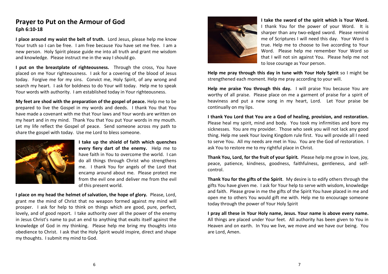#### **Prayer to Put on the Armour of God Eph 6:10-18**

**I place around my waist the belt of truth.** Lord Jesus, please help me know Your truth so I can be free. I am free because *You* have set me free. I am a new person. Holy Spirit please guide me into all truth and grant me wisdom and knowledge. Please instruct me in the way I should go.

**I put on the breastplate of righteousness.** Through the cross, You have placed on me Your righteousness. I ask for a covering of the blood of Jesus today. Forgive me for my sins. Convict me, Holy Spirit, of any wrong and search my heart. I ask for boldness to do Your will today. Help me to speak Your words with authority. I am established today in Your righteousness.

**My feet are shod with the preparation of the gospel of peace.** Help me to be prepared to live the Gospel in my words and deeds. I thank You that You have made a covenant with me that Your laws and Your words are written on my heart and in my mind. Thank You that You put Your words in my mouth. Let my life reflect the Gospel of peace. Send someone across my path to share the gospel with today. Use me Lord to bless someone.



**I take up the shield of faith which quenches every fiery dart of the enemy.** Help me to have faith in You to overcome the world. I can do all things through Christ who strengthens me. I thank You for angels of the Lord that encamp around about me. Please protect me from the evil one and deliver me from the evil of this present world.

**I place on my head the helmet of salvation, the hope of glory.** Please, Lord, grant me the mind of Christ that no weapon formed against my mind will prosper. I ask for help to think on things which are good, pure, perfect, lovely, and of good report. I take authority over all the power of the enemy in Jesus Christ's name to put an end to anything that exalts itself against the knowledge of God in my thinking. Please help me bring my thoughts into obedience to Christ. I ask that the Holy Spirit would inspire, direct and shape my thoughts. I submit my mind to God.



**I take the sword of the spirit which is Your Word.**  I thank You for the power of your Word. It is sharper than any two-edged sword. Please remind me of Scriptures I will need this day. Your Word is true. Help me to choose to live according to Your Word. Please help me remember Your Word so that I will not sin against You. Please help me not to lose courage as Your person.

**Help me pray through this day in tune with Your Holy Spirit** so I might be strengthened each moment. Help me pray according to your will.

**Help me praise You through this day.** I will praise You because You are worthy of all praise. Please place on me a garment of praise for a spirit of heaviness and put a new song in my heart, Lord. Let Your praise be continually on my lips.

**I thank You Lord that You are a God of healing, provision, and restoration.** Please heal my spirit, mind and body. You took my infirmities and bore my sicknesses. You are my provider. Those who seek you will not lack any good thing. Help me seek Your loving Kingdom rule first. You will provide all I need to serve You. All my needs are met in You. You are the God of restoration. I ask You to restore me to my rightful place in Christ.

**Thank You, Lord, for the fruit of your Spirit***.* Please help me grow in love, joy, peace, patience, kindness, goodness, faithfulness, gentleness, and selfcontrol.

**Thank You for the gifts of the Spirit**. My desire is to edify others through the gifts You have given me. I ask for Your help to serve with wisdom, knowledge and faith. Please grow in me the gifts of the Spirit You have placed in me and open me to others You would gift me with. Help me to encourage someone today through the power of Your Holy Spirit

**I pray all these in Your Holy name, Jesus. Your name is above every name.** All things are placed under Your feet. All authority has been given to You in Heaven and on earth. In You we live, we move and we have our being. You are Lord, Amen.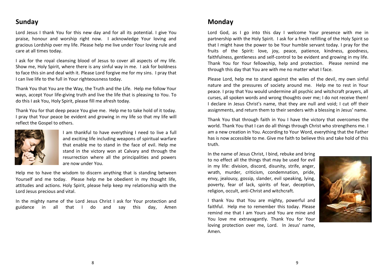#### **Sunday**

Lord Jesus I thank You for this new day and for all its potential. I give You praise, honour and worship right now. I acknowledge Your loving and gracious Lordship over my life. Please help me live under Your loving rule and care at all times today.

I ask for the royal cleansing blood of Jesus to cover all aspects of my life. Show me, Holy Spirit, where there is any sinful way in me. I ask for boldness to face this sin and deal with it. Please Lord forgive me for my sins. I pray that I can live life to the full in Your righteousness today.

Thank You that You are the Way, the Truth and the Life. Help me follow Your ways, accept Your life-giving truth and live the life that is pleasing to You. To do this I ask You, Holy Spirit, please fill me afresh today.

Thank You for that deep peace You give me. Help me to take hold of it today. I pray that Your peace be evident and growing in my life so that my life will reflect the Gospel to others.



I am thankful to have everything I need to live a full and exciting life including weapons of spiritual warfare that enable me to stand in the face of evil. Help me stand in the victory won at Calvary and through the resurrection where all the principalities and powers are now under You.

Help me to have the wisdom to discern anything that is standing between Yourself and me today. Please help me be obedient in my thought life, attitudes and actions. Holy Spirit, please help keep my relationship with the Lord Jesus precious and vital.

In the mighty name of the Lord Jesus Christ I ask for Your protection and guidance in all that I do and say this day, Amen

#### **Monday**

Lord God, as I go into this day I welcome Your presence with me in partnership with the Holy Spirit. I ask for a fresh refilling of the Holy Spirit so that I might have the power to be Your humble servant today. I pray for the fruits of the Spirit: love, joy, peace, patience, kindness, goodness, faithfulness, gentleness and self-control to be evident and growing in my life. Thank You for Your fellowship, help and protection. Please remind me through this day that You are with me no matter what I face.

Please Lord, help me to stand against the wiles of the devil, my own sinful nature and the pressures of society around me. Help me to rest in Your peace. I pray that You would undermine all psychic and witchcraft prayers, all curses, all spoken words and wrong thoughts over me; I do not receive them! I declare in Jesus Christ's name, that they are null and void; I cut off their assignments, and return them to their senders with a blessing in Jesus' name.

Thank You that through faith in You I have the victory that overcomes the world. Thank You that I can do all things through Christ who strengthens me. I am a new creation in You. According to Your Word, everything that the Father has is now accessible to me. Give me faith to believe this and take hold of this truth.

In the name of Jesus Christ, I bind, rebuke and bring to no effect all the things that may be used for evil in my life: division, discord, disunity, strife, anger, wrath, murder, criticism, condemnation, pride, envy, jealousy, gossip, slander, evil speaking, lying, poverty, fear of lack, spirits of fear, deception, religion, occult, anti-Christ and witchcraft.

I thank You that You are mighty, powerful and faithful. Help me to remember this today. Please remind me that I am Yours and You are mine and You love me extravagantly. Thank You for Your loving protection over me, Lord. In Jesus' name, Amen.

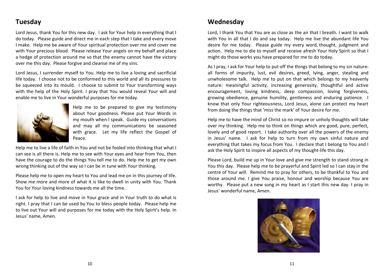#### **Tuesday**

Lord Jesus, thank You for this new day. I ask for Your help in everything that I do today. Please guide and direct me in each step that I take and every move I make. Help me be aware of Your spiritual protection over me and cover me with Your precious blood. Please release Your angels on my behalf and place a hedge of protection around me so that the enemy cannot have the victory over me this day. Please forgive and cleanse me of my sins.

Lord Jesus, I surrender myself to You. Help me to live a loving and sacrificial life today. I choose not to be conformed to this world and all its pressures to be squeezed into its mould. I choose to submit to Your transforming ways with the help of the Holy Spirit. I pray that You would reveal Your will and enable me to live in Your wonderful purposes for me today.



Help me to be prepared to give my testimony about Your goodness. Please put Your Words in my mouth when I speak. Guide my conversations and may all my communications be seasoned with grace. Let my life reflect the Gospel of Peace.

Help me to live a life of faith in You and not be fooled into thinking that what I can see is all there is. Help me to see with Your eyes and hear from You, then have the courage to do the things You tell me to do. Help me to get my own wrong thinking out of the way so I can be in tune with Your thinking.

Please help me to open my heart to You and lead me on in this journey of life. Show me more and more of what it is like to dwell in unity with You. Thank You for Your loving kindness towards me all the time.

I ask for help to live and move in Your grace and in Your truth to do what is right. I pray that I can be used by You to bless people today. Please help me to live out Your will and purposes for me today with the Holy Spirit's help. In Jesus' name, Amen.

#### **Wednesday**

Lord, I thank You that You are as close as the air that I breath. I want to walk with You in all that I do and say today. Help me live the abundant life You desire for me today. Please guide my every word, thought, judgment and action. Help me to die to myself and receive afresh Your Holy Spirit so that I might do those works you have prepared for me to do today.

As I pray, I ask for Your help to put off the things that belong to my sin nature: all forms of impurity, lust, evil desires, greed, lying, anger, stealing and unwholesome talk. Help me to put on that which belongs to my heavenly nature: meaningful activity, increasing generosity, thoughtful and active encouragement, loving kindness, deep compassion, loving forgiveness, growing obedience, genuine humility, gentleness and enduring patience. I know that only Your righteousness, Lord Jesus, alone can protect my heart from doing the things that 'miss the mark' of Your desire for me.

Help me to have the mind of Christ so no impure or unholy thoughts will take over my thinking. Help me to think on things which are good, pure, perfect, lovely and of good report. I take authority over all the powers of the enemy in Jesus' name. I ask for help to turn from my own sinful nature and everything that takes my focus from You. I declare that I belong to You and I ask the Holy Spirit to inspire all aspects of my thought-life this day.

Please Lord, build me up in Your love and give me strength to stand strong in You this day. Please help me to be prayerful and Spirit led so I can stay in the centre of Your will. Remind me to pray for others, to be thankful to You and those around me. I give You praise, honour and worship because You are worthy. Please put a new song in my heart as I start this new day. I pray in Jesus' wonderful name, Amen.

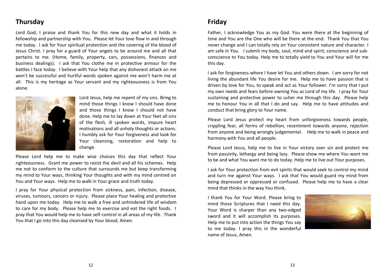### **Thursday**

Lord God, I praise and thank You for this new day and what it holds in fellowship and partnership with You. Please let Your love flow in and through me today. I ask for Your spiritual protection and the covering of the blood of Jesus Christ. I pray for a guard of Your angels to be around me and all that pertains to me. (Home, family, property, cars, possessions, finances and business dealings). I ask that You clothe me in protective armour for the battles I face today. I believe with Your help that any dishonest attack on me won't be successful and hurtful words spoken against me won't harm me at all. This is my heritage as Your servant and my righteousness is from You alone.



Lord Jesus, help me repent of my sins. Bring to mind those things I know I should have done and those things I know I should not have done. Help me to lay down at Your feet all sins of the flesh, ill spoken words, impure heart motivations and all unholy thoughts or actions. I humbly ask for Your forgiveness and look for Your cleansing, restoration and help to change.

Please Lord help me to make wise choices this day that reflect Your righteousness. Grant me power to resist the devil and all his schemes. Help me not to conform to the culture that surrounds me but keep transforming my mind to Your ways, thinking Your thoughts and with my mind centred on You and Your ways. Help me to walk in Your grace and truth today.

I pray for Your physical protection from sickness, pain, infection, disease, viruses, tumours, cancers or injury. Please place Your healing and protective hand upon me today. Help me to walk a free and unhindered life of wisdom to care for my body. Please help me to exercise and eat the right foods. I pray that You would help me to have self-control in all areas of my life. Thank You that I go into this day cleansed by Your blood, Amen.

### **Friday**

Father, I acknowledge You as my God. You were there at the beginning of time and You are the One who will be there at the end. Thank You that You never change and I can totally rely on Your consistent nature and character. I am safe in You. I submit my body, soul, mind and spirit, conscience and subconscience to You today. Help me to totally yield to You and Your will for me this day.

I ask for forgiveness where I have let You and others down. I am sorry for not living the abundant life You desire for me. Help me to have passion that is driven by love for You, to speak and act as Your follower. I'm sorry that I put my own needs and fears before owning You as Lord of my life. I pray for Your sustaining and protective power to usher me through this day. Please help me to honour You in all that I do and say. Help me to have attitudes and conduct that bring glory to Your name.

Please Lord Jesus protect my heart from unforgiveness towards people, crippling fear, all forms of rebellion, resentment towards anyone, rejection from anyone and being wrongly judgemental. Help me to walk in peace and harmony with You and all people.

Please Lord Jesus, help me to live in Your victory over sin and protect me from passivity, lethargy and being lazy. Please show me where You want me to be and what You want me to do today. Help me to live out Your purposes.

I ask for Your protection from evil spirits that would seek to control my mind and turn me against Your ways. I ask that You would guard my mind from being depressed or oppressed or confused. Please help me to have a clear mind that thinks in the way You think.

I thank You for Your Word. Please bring to mind those Scriptures that I need this day. Your Word is sharper than any two-edged sword and it will accomplish its purposes. Help me to put into action the things You say to me today. I pray this in the wonderful name of Jesus, Amen.

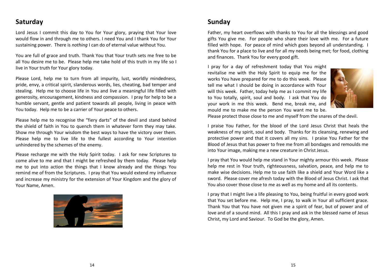### **Saturday**

Lord Jesus I commit this day to You for Your glory, praying that Your love would flow in and through me to others. I need You and I thank You for Your sustaining power. There is *nothing* I can do of eternal value without You.

You are full of grace and truth. Thank You that Your truth sets me free to be all You desire me to be. Please help me take hold of this truth in my life so I live in Your truth for Your glory today.

Please Lord, help me to turn from all impurity, lust, worldly mindedness, pride, envy, a critical spirit, slanderous words, lies, cheating, bad temper and stealing. Help me to choose life in You and live a meaningful life filled with generosity, encouragement, kindness and compassion. I pray for help to be a humble servant, gentle and patient towards all people, living in peace with You today. Help me to be a carrier of Your peace to others.

Please help me to recognise the "fiery darts" of the devil and stand behind the shield of faith in You to quench them in whatever form they may take. Show me through Your wisdom the best ways to have the victory over them. Please help me to live life to the fullest according to Your intention unhindered by the schemes of the enemy.

Please recharge me with the Holy Spirit today. I ask for new Scriptures to come alive to me and that I might be refreshed by them today. Please help me to put into action the things that I know already and the things You remind me of from the Scriptures. I pray that You would extend my influence and increase my ministry for the extension of Your Kingdom and the glory of Your Name, Amen.



# **Sunday**

Father, my heart overflows with thanks to You for all the blessings and good gifts You give me. For people who share their love with me. For a future filled with hope. For peace of mind which goes beyond all understanding. I thank You for a place to live and for all my needs being met; for food, clothing and finances. Thank You for every good gift.

I pray for a day of refreshment today that You might revitalise me with the Holy Spirit to equip me for the works You have prepared for me to do this week. Please tell me what I should be doing in accordance with Your will this week. Father, today help me as I commit my life to You totally, spirit, soul and body. I ask that You do your work in me this week. Bend me, break me, and mould me to make me the person You want me to be.



Please protect those close to me and myself from the snares of the devil.

I praise You Father, for the blood of the Lord Jesus Christ that heals the weakness of my spirit, soul and body. Thanks for its cleansing, renewing and protective power and that it covers all my sins. I praise You Father for the Blood of Jesus that has power to free me from all bondages and remoulds me into Your image, making me a new creature in Christ Jesus.

I pray that You would help me stand in Your mighty armour this week. Please help me rest in Your truth, righteousness, salvation, peace, and help me to make wise decisions. Help me to use faith like a shield and Your Word like a sword. Please cover me afresh today with the Blood of Jesus Christ. I ask that You also cover those close to me as well as my home and all its contents.

I pray that I might live a life pleasing to You, being fruitful in every good work that You set before me. Help me, I pray, to walk in Your all sufficient grace. Thank You that You have not given me a spirit of fear, but of power and of love and of a sound mind. All this I pray and ask in the blessed name of Jesus Christ, my Lord and Saviour. To God be the glory, Amen.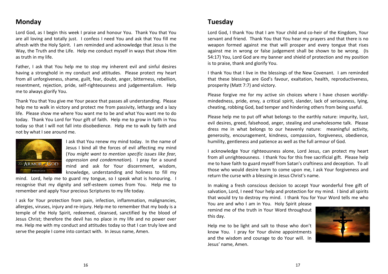#### **Monday**

Lord God, as I begin this week I praise and honour You. Thank You that You are all loving and totally just. I confess I need You and ask that You fill me afresh with the Holy Spirit. I am reminded and acknowledge that Jesus is the Way, the Truth and the Life. Help me conduct myself in ways that show Him as truth in my life.

Father, I ask that You help me to stop my inherent evil and sinful desires having a stronghold in my conduct and attitudes. Please protect my heart from all unforgiveness, shame, guilt, fear, doubt, anger, bitterness, rebellion, resentment, rejection, pride, self-righteousness and judgementalism. Help me to always glorify You.

Thank You that You give me Your peace that passes all understanding. Please help me to walk in victory and protect me from passivity, lethargy and a lazy life. Please show me where You want me to be and what You want me to do today. Thank You Lord for Your gift of faith. Help me to grow in faith in You today so that I will not fall into disobedience. Help me to walk by faith and not by what I see around me.



I ask that You renew my mind today. In the name of Jesus I bind all the forces of evil affecting my mind (*You might want to mention specific issues like fear, oppression and condemnation*). I pray for a sound mind and ask for Your discernment, wisdom, knowledge, understanding and holiness to fill my

mind. Lord, help me to guard my tongue, so I speak what is honouring. I recognise that my dignity and self-esteem comes from You. Help me to remember and apply Your precious Scriptures to my life today.

I ask for Your protection from pain, infection, inflammation, malignancies, allergies, viruses, injury and re-injury. Help me to remember that my body is a temple of the Holy Spirit, redeemed, cleansed, sanctified by the blood of Jesus Christ; therefore the devil has no place in my life and no power over me. Help me with my conduct and attitudes today so that I can truly love and serve the people I come into contact with. In Jesus name, Amen.

#### **Tuesday**

Lord God, I thank You that I am Your child and co-heir of the Kingdom, Your servant and friend. Thank You that You hear my prayers and that there is no weapon formed against me that will prosper and every tongue that rises against me in wrong or false judgement shall be shown to be wrong. (Is 54:17) You, Lord God are my banner and shield of protection and my position is to praise, thank and glorify You.

I thank You that I live in the blessings of the New Covenant. I am reminded that these blessings are God's favour, exaltation, health, reproductiveness, prosperity (Matt 7:7) and victory.

Please forgive me for my active sin choices where I have chosen worldlymindedness, pride, envy, a critical spirit, slander, lack of seriousness, lying, cheating, robbing God, bad temper and hindering others from being useful.

Please help me to put off what belongs to the earthly nature: impurity, lust, evil desires, greed, falsehood, anger, stealing and unwholesome talk. Please dress me in what belongs to our heavenly nature: meaningful activity, generosity, encouragement, kindness, compassion, forgiveness, obedience, humility, gentleness and patience as well as the full armour of God.

I acknowledge Your righteousness alone, Lord Jesus, can protect my heart from all unrighteousness. I thank You for this free sacrificial gift. Please help me to have faith to guard myself from Satan's craftiness and deception. To all those who would desire harm to come upon me, I ask Your forgiveness and return the curse with a blessing in Jesus Christ's name.

In making a fresh conscious decision to accept Your wonderful free gift of salvation, Lord, I need Your help and protection for my mind. I bind all spirits that would try to destroy my mind. I thank You for Your Word tells me who

You are and who I am in You. Holy Spirit please remind me of the truth in Your Word throughout this day.

Help me to be light and salt to those who don't know You. I pray for Your divine appointments and the wisdom and courage to do Your will. In Jesus' name, Amen.

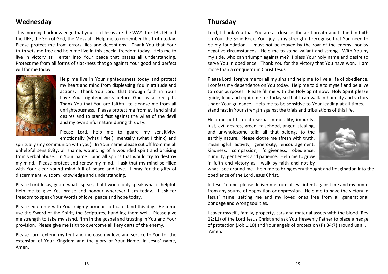#### **Wednesday**

This morning I acknowledge that you Lord Jesus are the WAY, the TRUTH and the LIFE, the Son of God, the Messiah. Help me to remember this truth today. Please protect me from errors, lies and deceptions. Thank You that Your truth sets me free and help me live in this special freedom today. Help me to live in victory as I enter into Your peace that passes all understanding. Protect me from all forms of slackness that go against Your good and perfect will for me today.



Help me live in Your righteousness today and protect my heart and mind from displeasing You in attitude and actions. Thank You Lord, that through faith in You I have Your righteousness before God as a free gift. Thank You that You are faithful to cleanse me from all unrighteousness. Please protect me from evil and sinful desires and to stand fast against the wiles of the devil and my own sinful nature during this day.

Please Lord, help me to guard my sensitivity, emotionally (what I feel), mentally (what I think) and

spiritually (my communion with you). In Your name please cut off from me all unhelpful sensitivity, all shame, wounding of a wounded spirit and bruising from verbal abuse. In Your name I bind all spirits that would try to destroy my mind. Please protect and renew my mind. I ask that my mind be filled with Your clear sound mind full of peace and love. I pray for the gifts of discernment, wisdom, knowledge and understanding.

Please Lord Jesus, guard what I speak, that I would only speak what is helpful. Help me to give You praise and honour wherever I am today. I ask for freedom to speak Your Words of love, peace and hope today.

Please equip me with Your mighty armour so I can stand this day. Help me use the Sword of the Spirit, the Scriptures, handling them well. Please give me strength to take my stand, firm in the gospel and trusting in You and Your provision. Please give me faith to overcome all fiery darts of the enemy.

Please Lord, extend my tent and increase my love and service to You for the extension of Your Kingdom and the glory of Your Name. In Jesus' name, Amen.

#### **Thursday**

Lord, I thank You that You are as close as the air I breath and I stand in faith on You, the Solid Rock. Your joy is my strength. I recognise that You need to be my foundation. I must not be moved by the roar of the enemy, nor by negative circumstances. Help me to stand valiant and strong. With You by my side, who can triumph against me? I bless Your holy name and desire to serve You in obedience. Thank You for the victory that You have won. I am more than a conqueror in Christ Jesus.

Please Lord, forgive me for all my sins and help me to live a life of obedience. I confess my dependence on You today. Help me to die to myself and be alive to Your purposes. Please fill me with the Holy Spirit now. Holy Spirit please guide, lead and equip me for today so that I can walk in humility and victory under Your guidance. Help me to be sensitive to Your leading at all times. I stand fast in Your strength against the trials and tribulations of this life.

Help me put to death sexual immorality, impurity, lust, evil desires, greed, falsehood, anger, stealing, and unwholesome talk: all that belongs to the earthly nature. Please clothe me afresh with truth, meaningful activity, generosity, encouragement, kindness, compassion, forgiveness, obedience, humility, gentleness and patience. Help me to grow in faith and victory as I walk by faith and not by



what I see around me. Help me to bring every thought and imagination into the obedience of the Lord Jesus Christ.

In Jesus' name, please deliver me from all evil intent against me and my home from any source of opposition or oppression. Help me to have the victory in Jesus' name, setting me and my loved ones free from all generational bondage and wrong soul ties.

I cover myself , family, property, cars and material assets with the blood (Rev 12:11) of the Lord Jesus Christ and ask You Heavenly Father to place a hedge of protection (Job 1:10) and Your angels of protection (Ps 34:7) around us all. Amen.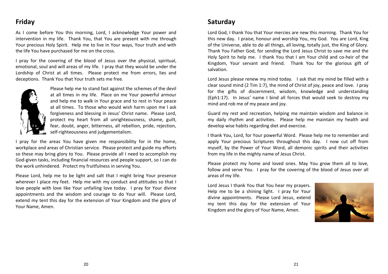# **Friday**

As I come before You this morning, Lord, I acknowledge Your power and intervention in my life. Thank You, that You are present with me through Your precious Holy Spirit. Help me to live in Your ways, Your truth and with the life You have purchased for me on the cross.

I pray for the covering of the blood of Jesus over the physical, spiritual, emotional, soul and will areas of my life. I pray that they would be under the Lordship of Christ at all times. Please protect me from errors, lies and deceptions. Thank You that Your truth sets me free.



Please help me to stand fast against the schemes of the devil at all times in my life. Place on me Your powerful armour and help me to walk in Your grace and to rest in Your peace at all times. To those who would wish harm upon me I ask forgiveness and blessing in Jesus' Christ name. Please Lord, protect my heart from all unrighteousness, shame, guilt, fear, doubt, anger, bitterness, all rebellion, pride, rejection, self-righteousness and judgementalism.

I pray for the areas You have given me responsibility for in the home, workplace and areas of Christian service. Please protect and guide my efforts so these may bring glory to You. Please provide all I need to accomplish my God-given tasks, including financial resources and people support, so I can do the work unhindered. Protect my fruitfulness in serving You.

Please Lord, help me to be light and salt that I might bring Your presence wherever I place my feet. Help me with my conduct and attitudes so that I love people with love like Your unfailing love today. I pray for Your divine appointments and the wisdom and courage to do Your will. Please Lord, extend my tent this day for the extension of Your Kingdom and the glory of Your Name, Amen.

#### **Saturday**

Lord God, I thank You that Your mercies are new this morning. Thank You for this new day. I praise, honour and worship You, my God. You are Lord, King of the Universe, able to do all things, all loving, totally just, the King of Glory. Thank You Father God, for sending the Lord Jesus Christ to save me and the Holy Spirit to help me. I thank You that I am Your child and co-heir of the Kingdom, Your servant and friend. Thank You for the glorious gift of salvation.

Lord Jesus please renew my mind today. I ask that my mind be filled with a clear sound mind (2 Tim 1:7), the mind of Christ of joy, peace and love. I pray for the gifts of discernment, wisdom, knowledge and understanding (Eph1:17). In Jesus' name I bind all forces that would seek to destroy my mind and rob me of my peace and joy.

Guard my rest and recreation, helping me maintain wisdom and balance in my daily rhythm and activities. Please help me maintain my health and develop wise habits regarding diet and exercise.

I thank You, Lord, for Your powerful Word. Please help me to remember and apply Your precious Scriptures throughout this day. I now cut off from myself, by the Power of Your Word, all demonic spirits and their activities from my life in the mighty name of Jesus Christ.

Please protect my home and loved ones. May You grow them all to love, follow and serve You. I pray for the covering of the blood of Jesus over all areas of my life.

Lord Jesus I thank You that You hear my prayers. Help me to be a shining light. I pray for Your divine appointments. Please Lord Jesus, extend my tent this day for the extension of Your Kingdom and the glory of Your Name, Amen.

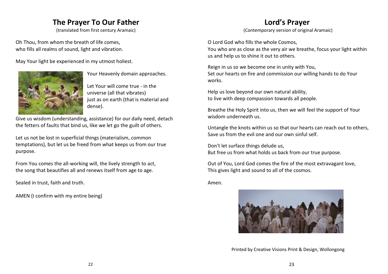# **The Prayer To Our Father**

(translated from first century Aramaic)

Oh Thou, from whom the breath of life comes, who fills all realms of sound, light and vibration.

May Your light be experienced in my utmost holiest.



Your Heavenly domain approaches.

Let Your will come true - in the universe (all that vibrates) just as on earth (that is material and dense).

Give us wisdom (understanding, assistance) for our daily need, detach the fetters of faults that bind us, like we let go the guilt of others.

Let us not be lost in superficial things (materialism, common temptations), but let us be freed from what keeps us from our true purpose.

From You comes the all-working will, the lively strength to act, the song that beautifies all and renews itself from age to age.

Sealed in trust, faith and truth.

AMEN (I confirm with my entire being)

# **Lord's Prayer**

(Contemporary version of original Aramaic)

O Lord God who fills the whole Cosmos, You who are as close as the very air we breathe, focus your light within us and help us to shine it out to others.

Reign in us so we become one in unity with You, Set our hearts on fire and commission our willing hands to do Your works.

Help us love beyond our own natural ability, to live with deep compassion towards all people.

Breathe the Holy Spirit into us, then we will feel the support of Your wisdom underneath us.

Untangle the knots within us so that our hearts can reach out to others, Save us from the evil one and our own sinful self.

Don't let surface things delude us, But free us from what holds us back from our true purpose.

Out of You, Lord God comes the fire of the most extravagant love, This gives light and sound to all of the cosmos.

Amen.



Printed by Creative Visions Print & Design, Wollongong